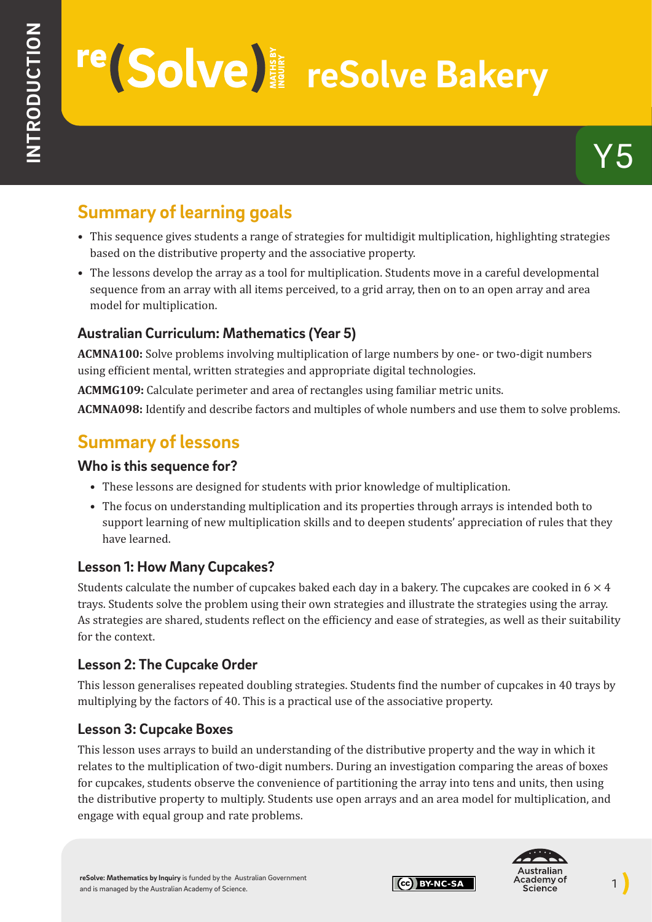# re (Solve)<sup></sup>

## **Summary of learning goals**

- This sequence gives students a range of strategies for multidigit multiplication, highlighting strategies based on the distributive property and the associative property.
- The lessons develop the array as a tool for multiplication. Students move in a careful developmental sequence from an array with all items perceived, to a grid array, then on to an open array and area model for multiplication.

#### **Australian Curriculum: Mathematics (Year 5)**

**ACMNA100:** Solve problems involving multiplication of large numbers by one- or two-digit numbers using efficient mental, written strategies and appropriate digital technologies.

**ACMMG109:** Calculate perimeter and area of rectangles using familiar metric units.

**ACMNA098:** Identify and describe factors and multiples of whole numbers and use them to solve problems.

## **Summary of lessons**

#### **Who is this sequence for?**

- These lessons are designed for students with prior knowledge of multiplication.
- The focus on understanding multiplication and its properties through arrays is intended both to support learning of new multiplication skills and to deepen students' appreciation of rules that they have learned.

#### **Lesson 1: How Many Cupcakes?**

Students calculate the number of cupcakes baked each day in a bakery. The cupcakes are cooked in  $6 \times 4$ trays. Students solve the problem using their own strategies and illustrate the strategies using the array. As strategies are shared, students reflect on the efficiency and ease of strategies, as well as their suitability for the context.

#### **Lesson 2: The Cupcake Order**

This lesson generalises repeated doubling strategies. Students find the number of cupcakes in 40 trays by multiplying by the factors of 40. This is a practical use of the associative property.

#### **Lesson 3: Cupcake Boxes**

This lesson uses arrays to build an understanding of the distributive property and the way in which it relates to the multiplication of two-digit numbers. During an investigation comparing the areas of boxes for cupcakes, students observe the convenience of partitioning the array into tens and units, then using the distributive property to multiply. Students use open arrays and an area model for multiplication, and engage with equal group and rate problems.